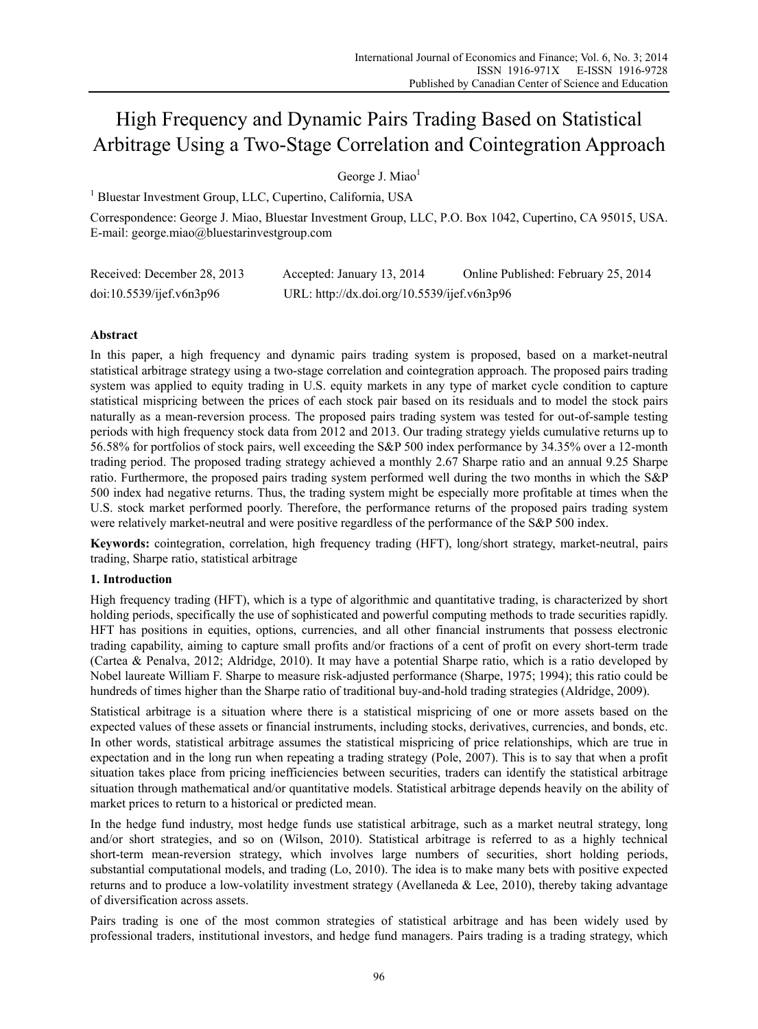# High Frequency and Dynamic Pairs Trading Based on Statistical Arbitrage Using a Two-Stage Correlation and Cointegration Approach

George J. Miao<sup>1</sup>

<sup>1</sup> Bluestar Investment Group, LLC, Cupertino, California, USA

Correspondence: George J. Miao, Bluestar Investment Group, LLC, P.O. Box 1042, Cupertino, CA 95015, USA. E-mail: george.miao@bluestarinvestgroup.com

| Received: December 28, 2013 | Accepted: January 13, 2014                  | Online Published: February 25, 2014 |
|-----------------------------|---------------------------------------------|-------------------------------------|
| doi:10.5539/ijef.v6n3p96    | URL: http://dx.doi.org/10.5539/ijef.v6n3p96 |                                     |

# **Abstract**

In this paper, a high frequency and dynamic pairs trading system is proposed, based on a market-neutral statistical arbitrage strategy using a two-stage correlation and cointegration approach. The proposed pairs trading system was applied to equity trading in U.S. equity markets in any type of market cycle condition to capture statistical mispricing between the prices of each stock pair based on its residuals and to model the stock pairs naturally as a mean-reversion process. The proposed pairs trading system was tested for out-of-sample testing periods with high frequency stock data from 2012 and 2013. Our trading strategy yields cumulative returns up to 56.58% for portfolios of stock pairs, well exceeding the S&P 500 index performance by 34.35% over a 12-month trading period. The proposed trading strategy achieved a monthly 2.67 Sharpe ratio and an annual 9.25 Sharpe ratio. Furthermore, the proposed pairs trading system performed well during the two months in which the S&P 500 index had negative returns. Thus, the trading system might be especially more profitable at times when the U.S. stock market performed poorly. Therefore, the performance returns of the proposed pairs trading system were relatively market-neutral and were positive regardless of the performance of the S&P 500 index.

**Keywords:** cointegration, correlation, high frequency trading (HFT), long/short strategy, market-neutral, pairs trading, Sharpe ratio, statistical arbitrage

# **1. Introduction**

High frequency trading (HFT), which is a type of algorithmic and quantitative trading, is characterized by short holding periods, specifically the use of sophisticated and powerful computing methods to trade securities rapidly. HFT has positions in equities, options, currencies, and all other financial instruments that possess electronic trading capability, aiming to capture small profits and/or fractions of a cent of profit on every short-term trade (Cartea & Penalva, 2012; Aldridge, 2010). It may have a potential Sharpe ratio, which is a ratio developed by Nobel laureate William F. Sharpe to measure risk-adjusted performance (Sharpe, 1975; 1994); this ratio could be hundreds of times higher than the Sharpe ratio of traditional buy-and-hold trading strategies (Aldridge, 2009).

Statistical arbitrage is a situation where there is a statistical mispricing of one or more assets based on the expected values of these assets or financial instruments, including stocks, derivatives, currencies, and bonds, etc. In other words, statistical arbitrage assumes the statistical mispricing of price relationships, which are true in expectation and in the long run when repeating a trading strategy (Pole, 2007). This is to say that when a profit situation takes place from pricing inefficiencies between securities, traders can identify the statistical arbitrage situation through mathematical and/or quantitative models. Statistical arbitrage depends heavily on the ability of market prices to return to a historical or predicted mean.

In the hedge fund industry, most hedge funds use statistical arbitrage, such as a market neutral strategy, long and/or short strategies, and so on (Wilson, 2010). Statistical arbitrage is referred to as a highly technical short-term mean-reversion strategy, which involves large numbers of securities, short holding periods, substantial computational models, and trading (Lo, 2010). The idea is to make many bets with positive expected returns and to produce a low-volatility investment strategy (Avellaneda & Lee, 2010), thereby taking advantage of diversification across assets.

Pairs trading is one of the most common strategies of statistical arbitrage and has been widely used by professional traders, institutional investors, and hedge fund managers. Pairs trading is a trading strategy, which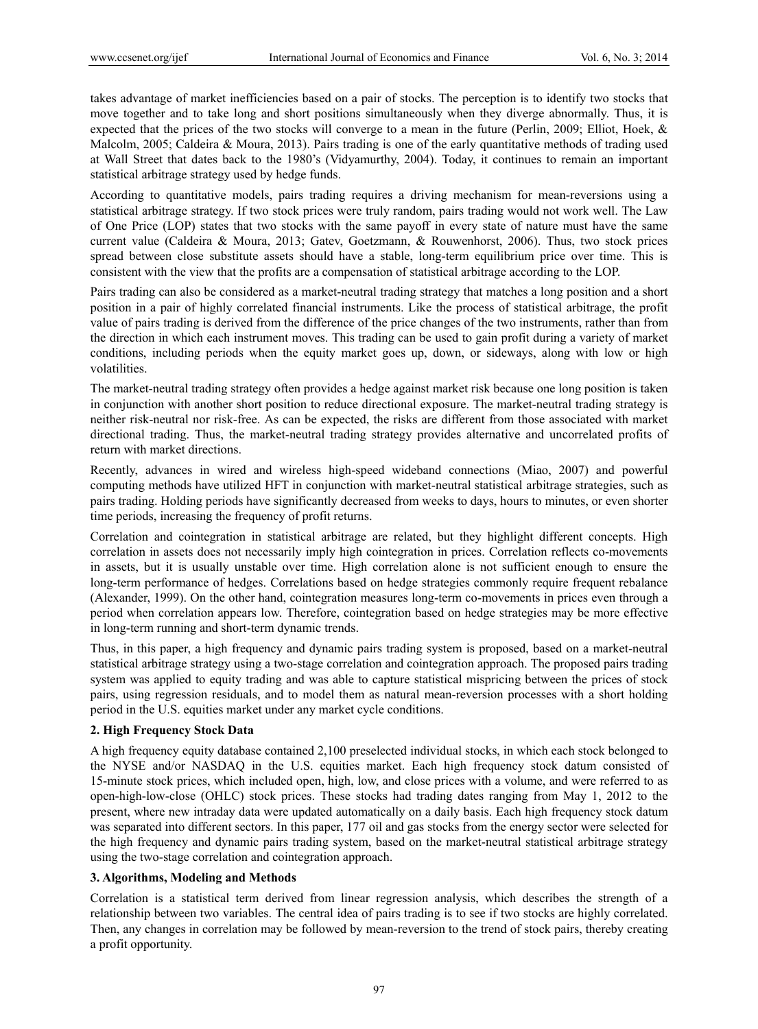takes advantage of market inefficiencies based on a pair of stocks. The perception is to identify two stocks that move together and to take long and short positions simultaneously when they diverge abnormally. Thus, it is expected that the prices of the two stocks will converge to a mean in the future (Perlin, 2009; Elliot, Hoek, & Malcolm, 2005; Caldeira & Moura, 2013). Pairs trading is one of the early quantitative methods of trading used at Wall Street that dates back to the 1980's (Vidyamurthy, 2004). Today, it continues to remain an important statistical arbitrage strategy used by hedge funds.

According to quantitative models, pairs trading requires a driving mechanism for mean-reversions using a statistical arbitrage strategy. If two stock prices were truly random, pairs trading would not work well. The Law of One Price (LOP) states that two stocks with the same payoff in every state of nature must have the same current value (Caldeira & Moura, 2013; Gatev, Goetzmann, & Rouwenhorst, 2006). Thus, two stock prices spread between close substitute assets should have a stable, long-term equilibrium price over time. This is consistent with the view that the profits are a compensation of statistical arbitrage according to the LOP.

Pairs trading can also be considered as a market-neutral trading strategy that matches a long position and a short position in a pair of highly correlated financial instruments. Like the process of statistical arbitrage, the profit value of pairs trading is derived from the difference of the price changes of the two instruments, rather than from the direction in which each instrument moves. This trading can be used to gain profit during a variety of market conditions, including periods when the equity market goes up, down, or sideways, along with low or high volatilities.

The market-neutral trading strategy often provides a hedge against market risk because one long position is taken in conjunction with another short position to reduce directional exposure. The market-neutral trading strategy is neither risk-neutral nor risk-free. As can be expected, the risks are different from those associated with market directional trading. Thus, the market-neutral trading strategy provides alternative and uncorrelated profits of return with market directions.

Recently, advances in wired and wireless high-speed wideband connections (Miao, 2007) and powerful computing methods have utilized HFT in conjunction with market-neutral statistical arbitrage strategies, such as pairs trading. Holding periods have significantly decreased from weeks to days, hours to minutes, or even shorter time periods, increasing the frequency of profit returns.

Correlation and cointegration in statistical arbitrage are related, but they highlight different concepts. High correlation in assets does not necessarily imply high cointegration in prices. Correlation reflects co-movements in assets, but it is usually unstable over time. High correlation alone is not sufficient enough to ensure the long-term performance of hedges. Correlations based on hedge strategies commonly require frequent rebalance (Alexander, 1999). On the other hand, cointegration measures long-term co-movements in prices even through a period when correlation appears low. Therefore, cointegration based on hedge strategies may be more effective in long-term running and short-term dynamic trends.

Thus, in this paper, a high frequency and dynamic pairs trading system is proposed, based on a market-neutral statistical arbitrage strategy using a two-stage correlation and cointegration approach. The proposed pairs trading system was applied to equity trading and was able to capture statistical mispricing between the prices of stock pairs, using regression residuals, and to model them as natural mean-reversion processes with a short holding period in the U.S. equities market under any market cycle conditions.

## **2. High Frequency Stock Data**

A high frequency equity database contained 2,100 preselected individual stocks, in which each stock belonged to the NYSE and/or NASDAQ in the U.S. equities market. Each high frequency stock datum consisted of 15-minute stock prices, which included open, high, low, and close prices with a volume, and were referred to as open-high-low-close (OHLC) stock prices. These stocks had trading dates ranging from May 1, 2012 to the present, where new intraday data were updated automatically on a daily basis. Each high frequency stock datum was separated into different sectors. In this paper, 177 oil and gas stocks from the energy sector were selected for the high frequency and dynamic pairs trading system, based on the market-neutral statistical arbitrage strategy using the two-stage correlation and cointegration approach.

## **3. Algorithms, Modeling and Methods**

Correlation is a statistical term derived from linear regression analysis, which describes the strength of a relationship between two variables. The central idea of pairs trading is to see if two stocks are highly correlated. Then, any changes in correlation may be followed by mean-reversion to the trend of stock pairs, thereby creating a profit opportunity.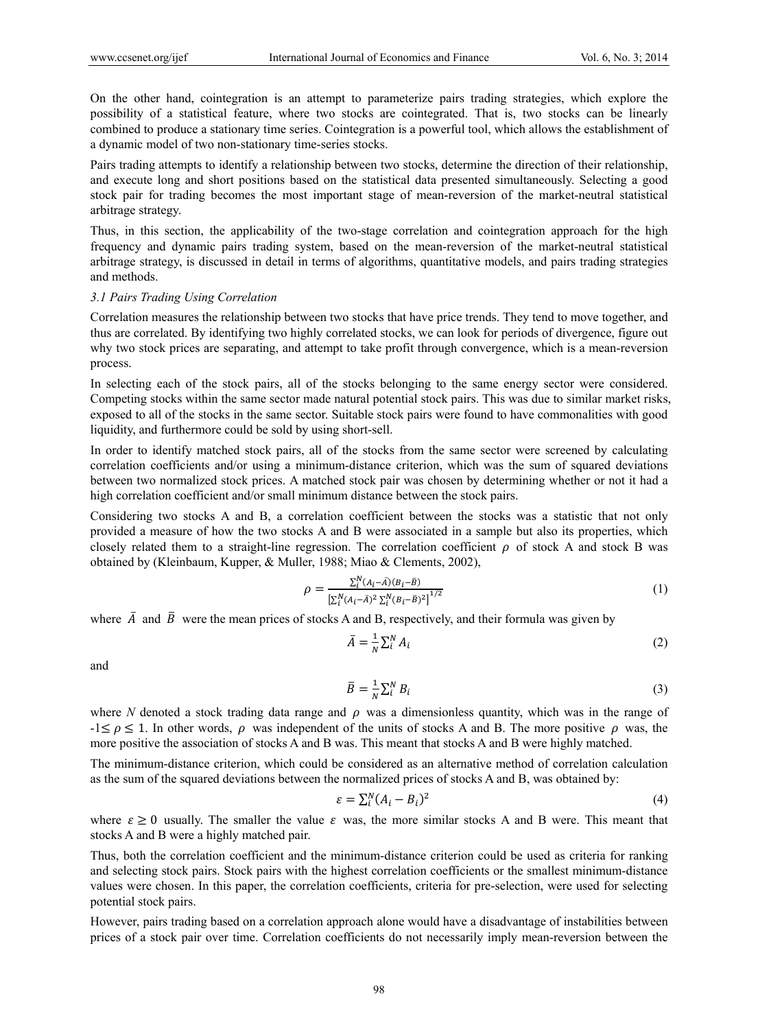On the other hand, cointegration is an attempt to parameterize pairs trading strategies, which explore the possibility of a statistical feature, where two stocks are cointegrated. That is, two stocks can be linearly combined to produce a stationary time series. Cointegration is a powerful tool, which allows the establishment of a dynamic model of two non-stationary time-series stocks.

Pairs trading attempts to identify a relationship between two stocks, determine the direction of their relationship, and execute long and short positions based on the statistical data presented simultaneously. Selecting a good stock pair for trading becomes the most important stage of mean-reversion of the market-neutral statistical arbitrage strategy.

Thus, in this section, the applicability of the two-stage correlation and cointegration approach for the high frequency and dynamic pairs trading system, based on the mean-reversion of the market-neutral statistical arbitrage strategy, is discussed in detail in terms of algorithms, quantitative models, and pairs trading strategies and methods.

#### *3.1 Pairs Trading Using Correlation*

Correlation measures the relationship between two stocks that have price trends. They tend to move together, and thus are correlated. By identifying two highly correlated stocks, we can look for periods of divergence, figure out why two stock prices are separating, and attempt to take profit through convergence, which is a mean-reversion process.

In selecting each of the stock pairs, all of the stocks belonging to the same energy sector were considered. Competing stocks within the same sector made natural potential stock pairs. This was due to similar market risks, exposed to all of the stocks in the same sector. Suitable stock pairs were found to have commonalities with good liquidity, and furthermore could be sold by using short-sell.

In order to identify matched stock pairs, all of the stocks from the same sector were screened by calculating correlation coefficients and/or using a minimum-distance criterion, which was the sum of squared deviations between two normalized stock prices. A matched stock pair was chosen by determining whether or not it had a high correlation coefficient and/or small minimum distance between the stock pairs.

Considering two stocks A and B, a correlation coefficient between the stocks was a statistic that not only provided a measure of how the two stocks A and B were associated in a sample but also its properties, which closely related them to a straight-line regression. The correlation coefficient  $\rho$  of stock A and stock B was obtained by (Kleinbaum, Kupper, & Muller, 1988; Miao & Clements, 2002),

$$
\rho = \frac{\sum_{i}^{N} (A_i - \bar{A})(B_i - \bar{B})}{\left[\sum_{i}^{N} (A_i - \bar{A})^2 \sum_{i}^{N} (B_i - \bar{B})^2\right]^{1/2}}
$$
(1)

where  $\bar{A}$  and  $\bar{B}$  were the mean prices of stocks A and B, respectively, and their formula was given by

$$
\bar{A} = \frac{1}{N} \sum_{i}^{N} A_i \tag{2}
$$

and

$$
\bar{B} = \frac{1}{N} \sum_{i}^{N} B_i \tag{3}
$$

where N denoted a stock trading data range and  $\rho$  was a dimensionless quantity, which was in the range of  $-1 \leq \rho \leq 1$ . In other words,  $\rho$  was independent of the units of stocks A and B. The more positive  $\rho$  was, the more positive the association of stocks A and B was. This meant that stocks A and B were highly matched.

The minimum-distance criterion, which could be considered as an alternative method of correlation calculation as the sum of the squared deviations between the normalized prices of stocks A and B, was obtained by:

$$
\varepsilon = \sum_{i}^{N} (A_i - B_i)^2 \tag{4}
$$

where  $\varepsilon \ge 0$  usually. The smaller the value  $\varepsilon$  was, the more similar stocks A and B were. This meant that stocks A and B were a highly matched pair.

Thus, both the correlation coefficient and the minimum-distance criterion could be used as criteria for ranking and selecting stock pairs. Stock pairs with the highest correlation coefficients or the smallest minimum-distance values were chosen. In this paper, the correlation coefficients, criteria for pre-selection, were used for selecting potential stock pairs.

However, pairs trading based on a correlation approach alone would have a disadvantage of instabilities between prices of a stock pair over time. Correlation coefficients do not necessarily imply mean-reversion between the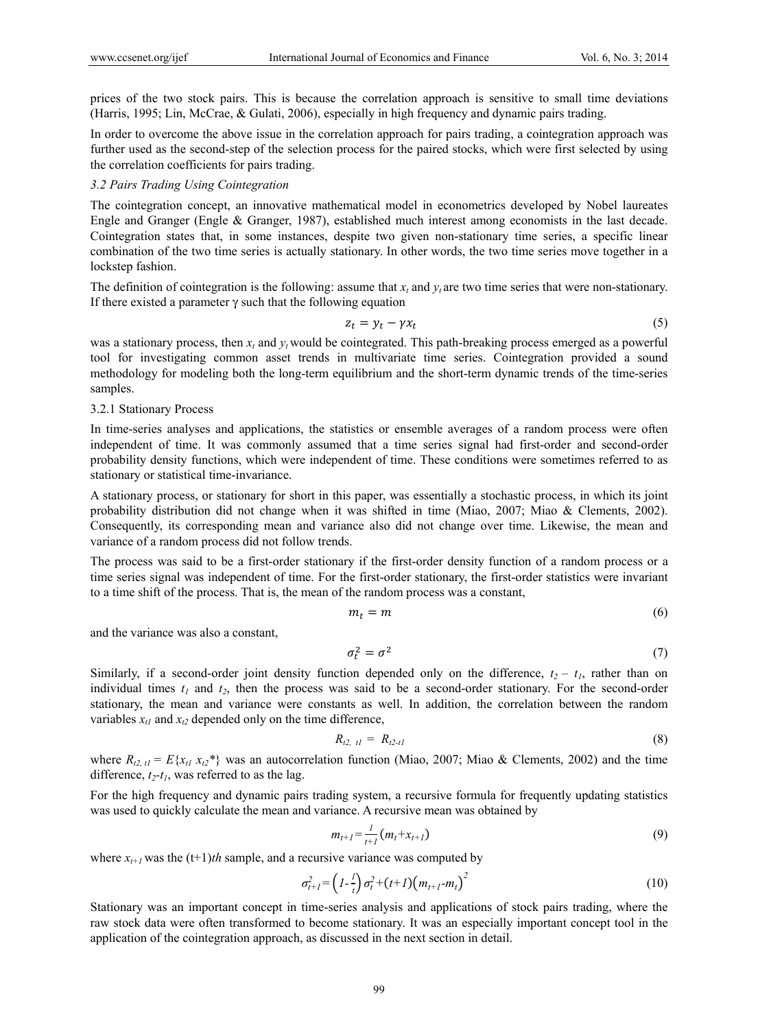prices of the two stock pairs. This is because the correlation approach is sensitive to small time deviations (Harris, 1995; Lin, McCrae, & Gulati, 2006), especially in high frequency and dynamic pairs trading.

In order to overcome the above issue in the correlation approach for pairs trading, a cointegration approach was further used as the second-step of the selection process for the paired stocks, which were first selected by using the correlation coefficients for pairs trading.

## *3.2 Pairs Trading Using Cointegration*

The cointegration concept, an innovative mathematical model in econometrics developed by Nobel laureates Engle and Granger (Engle & Granger, 1987), established much interest among economists in the last decade. Cointegration states that, in some instances, despite two given non-stationary time series, a specific linear combination of the two time series is actually stationary. In other words, the two time series move together in a lockstep fashion.

The definition of cointegration is the following: assume that  $x_t$  and  $y_t$  are two time series that were non-stationary. If there existed a parameter  $\gamma$  such that the following equation

$$
z_t = y_t - \gamma x_t \tag{5}
$$

was a stationary process, then *x<sub>t</sub>* and *y<sub>t</sub>* would be cointegrated. This path-breaking process emerged as a powerful tool for investigating common asset trends in multivariate time series. Cointegration provided a sound methodology for modeling both the long-term equilibrium and the short-term dynamic trends of the time-series samples.

#### 3.2.1 Stationary Process

In time-series analyses and applications, the statistics or ensemble averages of a random process were often independent of time. It was commonly assumed that a time series signal had first-order and second-order probability density functions, which were independent of time. These conditions were sometimes referred to as stationary or statistical time-invariance.

A stationary process, or stationary for short in this paper, was essentially a stochastic process, in which its joint probability distribution did not change when it was shifted in time (Miao, 2007; Miao & Clements, 2002). Consequently, its corresponding mean and variance also did not change over time. Likewise, the mean and variance of a random process did not follow trends.

The process was said to be a first-order stationary if the first-order density function of a random process or a time series signal was independent of time. For the first-order stationary, the first-order statistics were invariant to a time shift of the process. That is, the mean of the random process was a constant,

$$
m_t = m \tag{6}
$$

and the variance was also a constant,

$$
\sigma_t^2 = \sigma^2 \tag{7}
$$

Similarly, if a second-order joint density function depended only on the difference,  $t_2 - t_1$ , rather than on individual times  $t_1$  and  $t_2$ , then the process was said to be a second-order stationary. For the second-order stationary, the mean and variance were constants as well. In addition, the correlation between the random variables  $x_{t1}$  and  $x_{t2}$  depended only on the time difference,

$$
R_{t2,~t1} = R_{t2-t1} \tag{8}
$$

where  $R_{t2, t1} = E\{x_{t1}, x_{t2}^*\}$  was an autocorrelation function (Miao, 2007; Miao & Clements, 2002) and the time difference,  $t_2$ - $t_1$ , was referred to as the lag.

For the high frequency and dynamic pairs trading system, a recursive formula for frequently updating statistics was used to quickly calculate the mean and variance. A recursive mean was obtained by

$$
m_{t+1} = \frac{1}{t+1} (m_t + x_{t+1})
$$
\n(9)

where  $x_{t+1}$  was the  $(t+1)$ *th* sample, and a recursive variance was computed by

$$
\sigma_{t+1}^2 = \left(1 - \frac{l}{t}\right)\sigma_t^2 + (t+1)\left(m_{t+1} - m_t\right)^2\tag{10}
$$

Stationary was an important concept in time-series analysis and applications of stock pairs trading, where the raw stock data were often transformed to become stationary. It was an especially important concept tool in the application of the cointegration approach, as discussed in the next section in detail.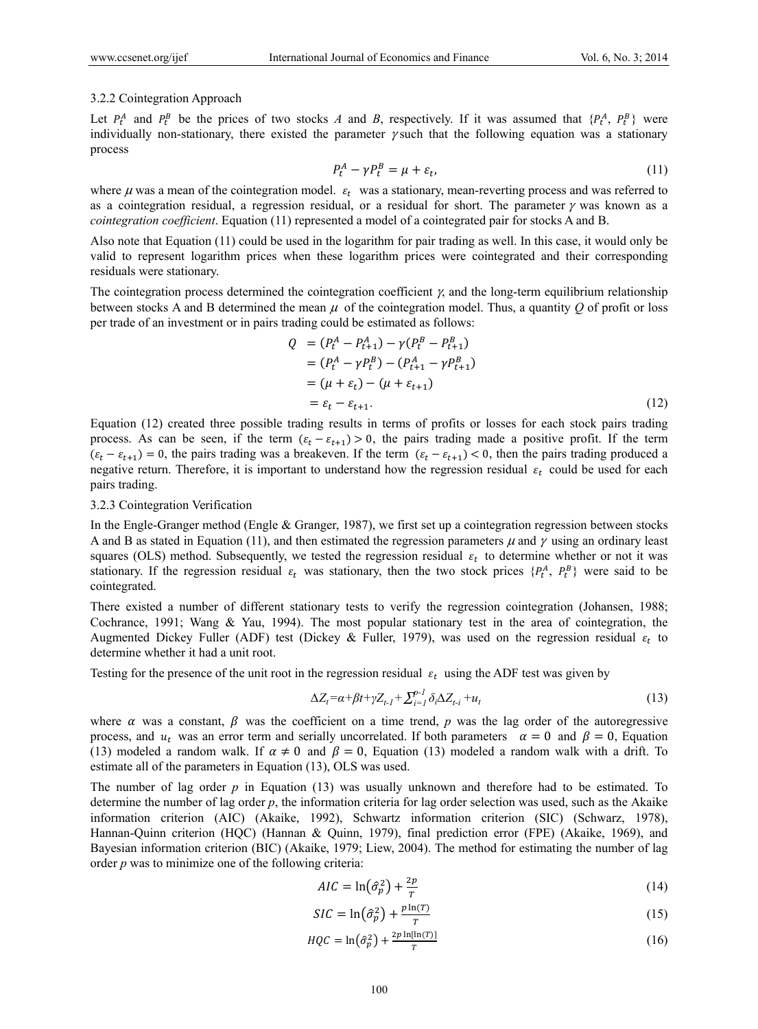#### 3.2.2 Cointegration Approach

Let  $P_t^A$  and  $P_t^B$  be the prices of two stocks *A* and *B*, respectively. If it was assumed that  $\{P_t^A, P_t^B\}$  were individually non-stationary, there existed the parameter  $\gamma$  such that the following equation was a stationary process

$$
P_t^A - \gamma P_t^B = \mu + \varepsilon_t, \tag{11}
$$

where  $\mu$  was a mean of the cointegration model.  $\varepsilon_t$  was a stationary, mean-reverting process and was referred to as a cointegration residual, a regression residual, or a residual for short. The parameter  $\gamma$  was known as a *cointegration coefficient*. Equation (11) represented a model of a cointegrated pair for stocks A and B.

Also note that Equation (11) could be used in the logarithm for pair trading as well. In this case, it would only be valid to represent logarithm prices when these logarithm prices were cointegrated and their corresponding residuals were stationary.

The cointegration process determined the cointegration coefficient  $\gamma$  and the long-term equilibrium relationship between stocks A and B determined the mean  $\mu$  of the cointegration model. Thus, a quantity O of profit or loss per trade of an investment or in pairs trading could be estimated as follows:

$$
Q = (P_t^A - P_{t+1}^A) - \gamma (P_t^B - P_{t+1}^B)
$$
  
=  $(P_t^A - \gamma P_t^B) - (P_{t+1}^A - \gamma P_{t+1}^B)$   
=  $(\mu + \varepsilon_t) - (\mu + \varepsilon_{t+1})$   
=  $\varepsilon_t - \varepsilon_{t+1}$ . (12)

Equation (12) created three possible trading results in terms of profits or losses for each stock pairs trading process. As can be seen, if the term  $(\varepsilon_t - \varepsilon_{t+1}) > 0$ , the pairs trading made a positive profit. If the term  $(\varepsilon_t - \varepsilon_{t+1}) = 0$ , the pairs trading was a breakeven. If the term  $(\varepsilon_t - \varepsilon_{t+1}) < 0$ , then the pairs trading produced a negative return. Therefore, it is important to understand how the regression residual  $\varepsilon_t$  could be used for each pairs trading.

## 3.2.3 Cointegration Verification

In the Engle-Granger method (Engle & Granger, 1987), we first set up a cointegration regression between stocks A and B as stated in Equation (11), and then estimated the regression parameters  $\mu$  and  $\gamma$  using an ordinary least squares (OLS) method. Subsequently, we tested the regression residual  $\varepsilon_t$  to determine whether or not it was stationary. If the regression residual  $\varepsilon_t$  was stationary, then the two stock prices  $\{P_t^A, P_t^B\}$  were said to be cointegrated.

There existed a number of different stationary tests to verify the regression cointegration (Johansen, 1988; Cochrance, 1991; Wang & Yau, 1994). The most popular stationary test in the area of cointegration, the Augmented Dickey Fuller (ADF) test (Dickey & Fuller, 1979), was used on the regression residual  $\varepsilon_t$  to determine whether it had a unit root.

Testing for the presence of the unit root in the regression residual  $\varepsilon_t$  using the ADF test was given by

$$
\Delta Z_t = \alpha + \beta t + \gamma Z_{t-1} + \sum_{i=1}^{p-1} \delta_i \Delta Z_{t-i} + u_t \tag{13}
$$

where  $\alpha$  was a constant,  $\beta$  was the coefficient on a time trend,  $p$  was the lag order of the autoregressive process, and  $u_t$  was an error term and serially uncorrelated. If both parameters  $\alpha = 0$  and  $\beta = 0$ , Equation (13) modeled a random walk. If  $\alpha \neq 0$  and  $\beta = 0$ , Equation (13) modeled a random walk with a drift. To estimate all of the parameters in Equation (13), OLS was used.

The number of lag order *p* in Equation (13) was usually unknown and therefore had to be estimated. To determine the number of lag order *p*, the information criteria for lag order selection was used, such as the Akaike information criterion (AIC) (Akaike, 1992), Schwartz information criterion (SIC) (Schwarz, 1978), Hannan-Quinn criterion (HQC) (Hannan & Quinn, 1979), final prediction error (FPE) (Akaike, 1969), and Bayesian information criterion (BIC) (Akaike, 1979; Liew, 2004). The method for estimating the number of lag order *p* was to minimize one of the following criteria:

$$
AIC = \ln(\hat{\sigma}_p^2) + \frac{2p}{T}
$$
 (14)

$$
SIC = \ln(\hat{\sigma}_p^2) + \frac{p \ln(T)}{T}
$$
 (15)

$$
HQC = \ln(\hat{\sigma}_p^2) + \frac{2p \ln[\ln(T)]}{T}
$$
\n(16)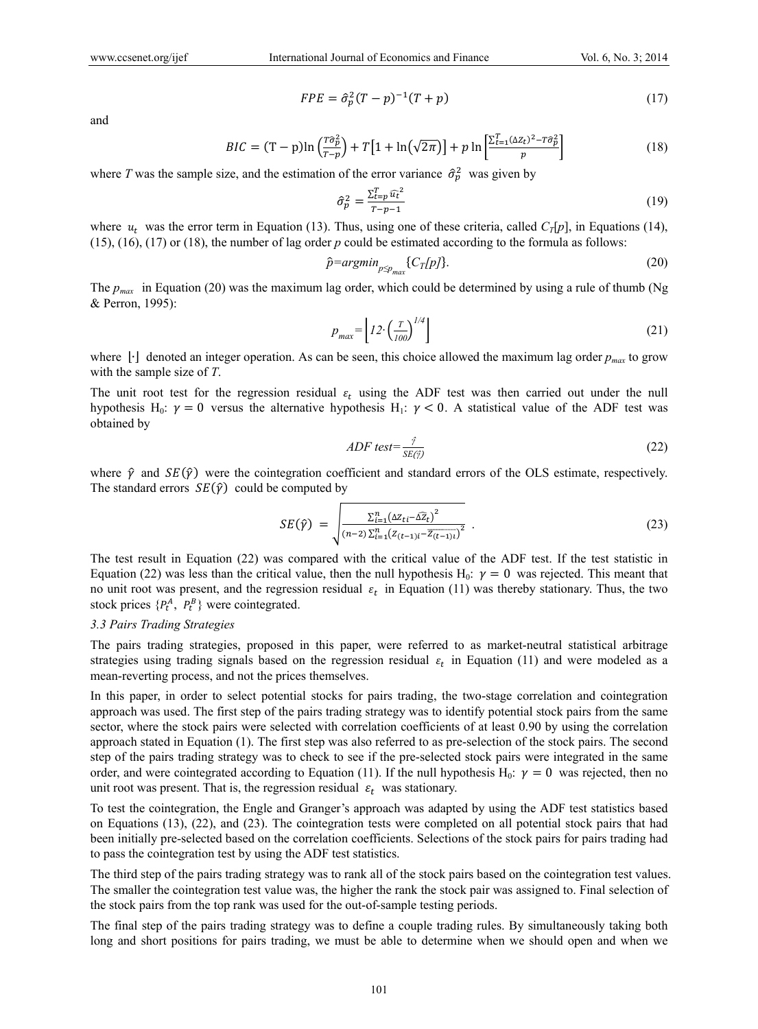and

$$
FPE = \hat{\sigma}_p^2 (T - p)^{-1} (T + p)
$$
 (17)

$$
BIC = (T - p)\ln\left(\frac{T\hat{\sigma}_p^2}{T - p}\right) + T\left[1 + \ln(\sqrt{2\pi})\right] + p\ln\left[\frac{\sum_{t=1}^{T} (\Delta Z_t)^2 - T\hat{\sigma}_p^2}{p}\right]
$$
(18)

where *T* was the sample size, and the estimation of the error variance  $\hat{\sigma}_p^2$  was given by

$$
\hat{\sigma}_p^2 = \frac{\Sigma_{t=p}^T \hat{u}_t^2}{T - p - 1} \tag{19}
$$

where  $u_t$  was the error term in Equation (13). Thus, using one of these criteria, called  $C_T[p]$ , in Equations (14), (15), (16), (17) or (18), the number of lag order *p* could be estimated according to the formula as follows:

$$
\hat{p} = argmin_{p \le p_{max}} \{C_T[p]\}.
$$
\n(20)

The *pmax* in Equation (20) was the maximum lag order, which could be determined by using a rule of thumb (Ng & Perron, 1995):

$$
p_{\text{max}} = \left[12 \cdot \left(\frac{T}{100}\right)^{1/4}\right] \tag{21}
$$

where  $\|\cdot\|$  denoted an integer operation. As can be seen, this choice allowed the maximum lag order *p<sub>max</sub>* to grow with the sample size of *T*.

The unit root test for the regression residual  $\varepsilon_t$  using the ADF test was then carried out under the null hypothesis H<sub>0</sub>:  $\gamma = 0$  versus the alternative hypothesis H<sub>1</sub>:  $\gamma < 0$ . A statistical value of the ADF test was obtained by

$$
ADF \text{ test} = \frac{\hat{r}}{SE(\hat{r})} \tag{22}
$$

where  $\hat{\gamma}$  and  $SE(\hat{\gamma})$  were the cointegration coefficient and standard errors of the OLS estimate, respectively. The standard errors  $SE(\hat{\gamma})$  could be computed by

$$
SE(\hat{\gamma}) = \sqrt{\frac{\sum_{i=1}^{n} (\Delta Z_{ti} - \Delta \bar{Z}_t)^2}{(n-2)\sum_{i=1}^{n} (Z_{(t-1)i} - \bar{Z}_{(t-1)i})^2}} \tag{23}
$$

The test result in Equation (22) was compared with the critical value of the ADF test. If the test statistic in Equation (22) was less than the critical value, then the null hypothesis H<sub>0</sub>:  $\gamma = 0$  was rejected. This meant that no unit root was present, and the regression residual  $\varepsilon_t$  in Equation (11) was thereby stationary. Thus, the two stock prices  $\{P_t^A, P_t^B\}$  were cointegrated.

# *3.3 Pairs Trading Strategies*

The pairs trading strategies, proposed in this paper, were referred to as market-neutral statistical arbitrage strategies using trading signals based on the regression residual  $\varepsilon_t$  in Equation (11) and were modeled as a mean-reverting process, and not the prices themselves.

In this paper, in order to select potential stocks for pairs trading, the two-stage correlation and cointegration approach was used. The first step of the pairs trading strategy was to identify potential stock pairs from the same sector, where the stock pairs were selected with correlation coefficients of at least 0.90 by using the correlation approach stated in Equation (1). The first step was also referred to as pre-selection of the stock pairs. The second step of the pairs trading strategy was to check to see if the pre-selected stock pairs were integrated in the same order, and were cointegrated according to Equation (11). If the null hypothesis H<sub>0</sub>:  $\gamma = 0$  was rejected, then no unit root was present. That is, the regression residual  $\varepsilon_t$  was stationary.

To test the cointegration, the Engle and Granger's approach was adapted by using the ADF test statistics based on Equations (13), (22), and (23). The cointegration tests were completed on all potential stock pairs that had been initially pre-selected based on the correlation coefficients. Selections of the stock pairs for pairs trading had to pass the cointegration test by using the ADF test statistics.

The third step of the pairs trading strategy was to rank all of the stock pairs based on the cointegration test values. The smaller the cointegration test value was, the higher the rank the stock pair was assigned to. Final selection of the stock pairs from the top rank was used for the out-of-sample testing periods.

The final step of the pairs trading strategy was to define a couple trading rules. By simultaneously taking both long and short positions for pairs trading, we must be able to determine when we should open and when we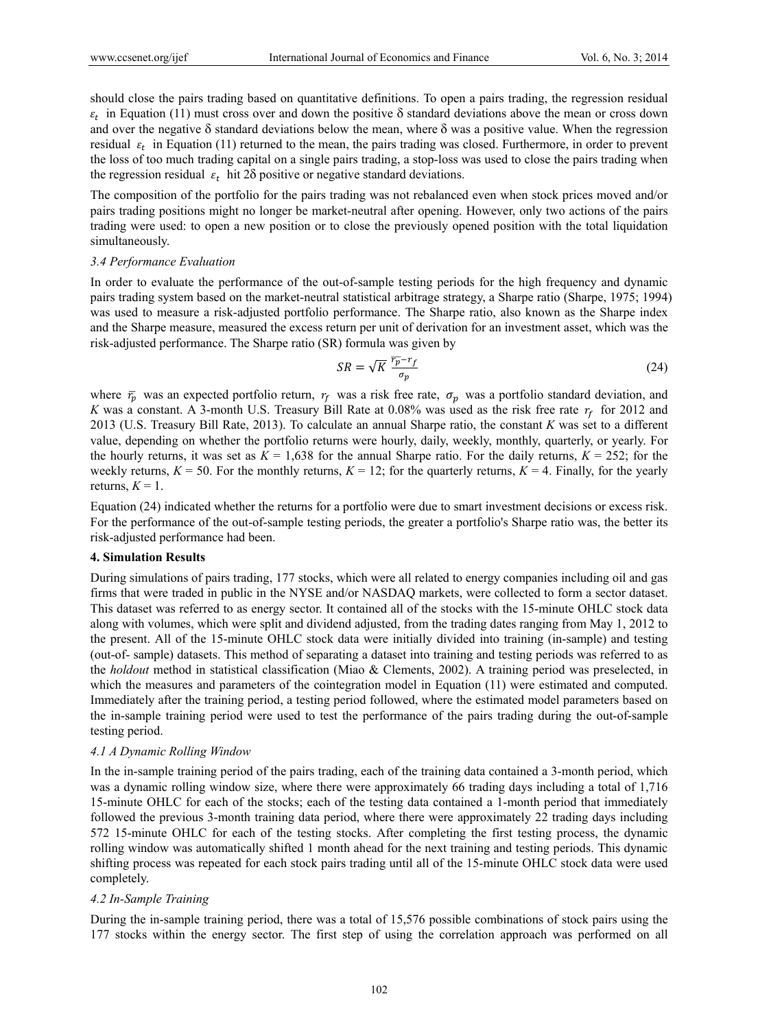should close the pairs trading based on quantitative definitions. To open a pairs trading, the regression residual  $\varepsilon_t$  in Equation (11) must cross over and down the positive  $\delta$  standard deviations above the mean or cross down and over the negative  $\delta$  standard deviations below the mean, where  $\delta$  was a positive value. When the regression residual  $\varepsilon_t$  in Equation (11) returned to the mean, the pairs trading was closed. Furthermore, in order to prevent the loss of too much trading capital on a single pairs trading, a stop-loss was used to close the pairs trading when the regression residual  $\varepsilon_t$  hit 2 $\delta$  positive or negative standard deviations.

The composition of the portfolio for the pairs trading was not rebalanced even when stock prices moved and/or pairs trading positions might no longer be market-neutral after opening. However, only two actions of the pairs trading were used: to open a new position or to close the previously opened position with the total liquidation simultaneously.

## *3.4 Performance Evaluation*

In order to evaluate the performance of the out-of-sample testing periods for the high frequency and dynamic pairs trading system based on the market-neutral statistical arbitrage strategy, a Sharpe ratio (Sharpe, 1975; 1994) was used to measure a risk-adjusted portfolio performance. The Sharpe ratio, also known as the Sharpe index and the Sharpe measure, measured the excess return per unit of derivation for an investment asset, which was the risk-adjusted performance. The Sharpe ratio (SR) formula was given by

$$
SR = \sqrt{K} \frac{\overline{r_p} - r_f}{\sigma_p} \tag{24}
$$

where  $\bar{r}_p$  was an expected portfolio return,  $r_f$  was a risk free rate,  $\sigma_p$  was a portfolio standard deviation, and *K* was a constant. A 3-month U.S. Treasury Bill Rate at 0.08% was used as the risk free rate  $r_f$  for 2012 and 2013 (U.S. Treasury Bill Rate, 2013). To calculate an annual Sharpe ratio, the constant *K* was set to a different value, depending on whether the portfolio returns were hourly, daily, weekly, monthly, quarterly, or yearly. For the hourly returns, it was set as  $K = 1,638$  for the annual Sharpe ratio. For the daily returns,  $K = 252$ ; for the weekly returns,  $K = 50$ . For the monthly returns,  $K = 12$ ; for the quarterly returns,  $K = 4$ . Finally, for the yearly returns,  $K = 1$ .

Equation (24) indicated whether the returns for a portfolio were due to smart investment decisions or excess risk. For the performance of the out-of-sample testing periods, the greater a portfolio's Sharpe ratio was, the better its risk-adjusted performance had been.

## **4. Simulation Results**

During simulations of pairs trading, 177 stocks, which were all related to energy companies including oil and gas firms that were traded in public in the NYSE and/or NASDAQ markets, were collected to form a sector dataset. This dataset was referred to as energy sector. It contained all of the stocks with the 15-minute OHLC stock data along with volumes, which were split and dividend adjusted, from the trading dates ranging from May 1, 2012 to the present. All of the 15-minute OHLC stock data were initially divided into training (in-sample) and testing (out-of- sample) datasets. This method of separating a dataset into training and testing periods was referred to as the *holdout* method in statistical classification (Miao & Clements, 2002). A training period was preselected, in which the measures and parameters of the cointegration model in Equation (11) were estimated and computed. Immediately after the training period, a testing period followed, where the estimated model parameters based on the in-sample training period were used to test the performance of the pairs trading during the out-of-sample testing period.

## *4.1 A Dynamic Rolling Window*

In the in-sample training period of the pairs trading, each of the training data contained a 3-month period, which was a dynamic rolling window size, where there were approximately 66 trading days including a total of 1,716 15-minute OHLC for each of the stocks; each of the testing data contained a 1-month period that immediately followed the previous 3-month training data period, where there were approximately 22 trading days including 572 15-minute OHLC for each of the testing stocks. After completing the first testing process, the dynamic rolling window was automatically shifted 1 month ahead for the next training and testing periods. This dynamic shifting process was repeated for each stock pairs trading until all of the 15-minute OHLC stock data were used completely.

### *4.2 In-Sample Training*

During the in-sample training period, there was a total of 15,576 possible combinations of stock pairs using the 177 stocks within the energy sector. The first step of using the correlation approach was performed on all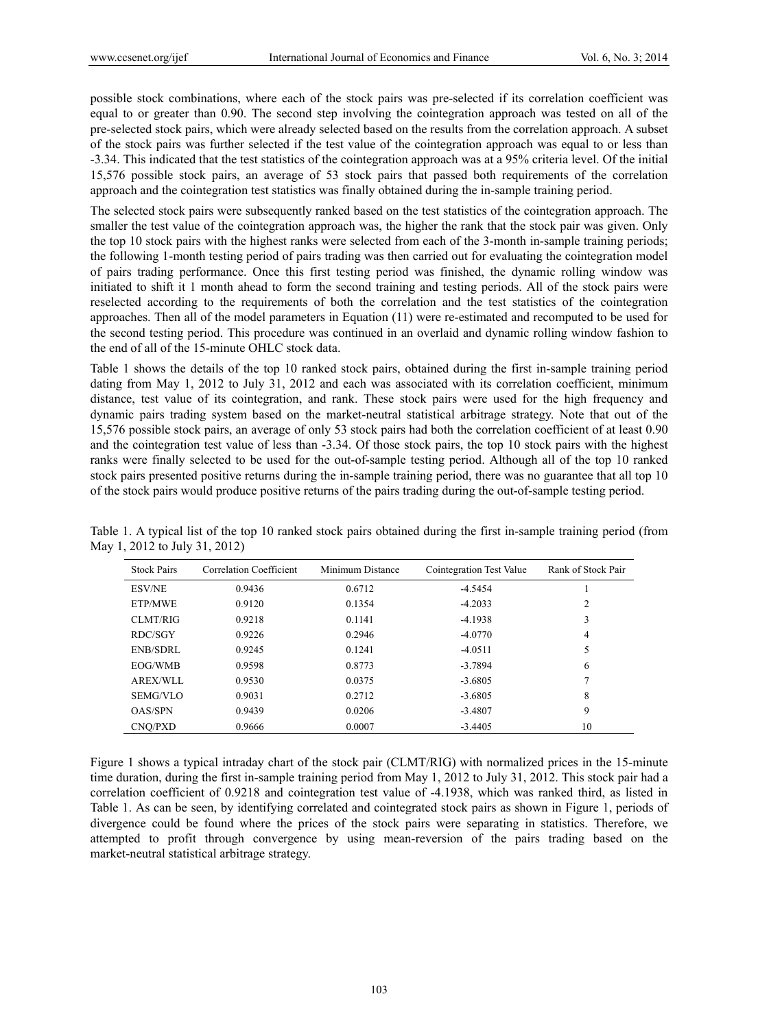possible stock combinations, where each of the stock pairs was pre-selected if its correlation coefficient was equal to or greater than 0.90. The second step involving the cointegration approach was tested on all of the pre-selected stock pairs, which were already selected based on the results from the correlation approach. A subset of the stock pairs was further selected if the test value of the cointegration approach was equal to or less than -3.34. This indicated that the test statistics of the cointegration approach was at a 95% criteria level. Of the initial 15,576 possible stock pairs, an average of 53 stock pairs that passed both requirements of the correlation approach and the cointegration test statistics was finally obtained during the in-sample training period.

The selected stock pairs were subsequently ranked based on the test statistics of the cointegration approach. The smaller the test value of the cointegration approach was, the higher the rank that the stock pair was given. Only the top 10 stock pairs with the highest ranks were selected from each of the 3-month in-sample training periods; the following 1-month testing period of pairs trading was then carried out for evaluating the cointegration model of pairs trading performance. Once this first testing period was finished, the dynamic rolling window was initiated to shift it 1 month ahead to form the second training and testing periods. All of the stock pairs were reselected according to the requirements of both the correlation and the test statistics of the cointegration approaches. Then all of the model parameters in Equation (11) were re-estimated and recomputed to be used for the second testing period. This procedure was continued in an overlaid and dynamic rolling window fashion to the end of all of the 15-minute OHLC stock data.

Table 1 shows the details of the top 10 ranked stock pairs, obtained during the first in-sample training period dating from May 1, 2012 to July 31, 2012 and each was associated with its correlation coefficient, minimum distance, test value of its cointegration, and rank. These stock pairs were used for the high frequency and dynamic pairs trading system based on the market-neutral statistical arbitrage strategy. Note that out of the 15,576 possible stock pairs, an average of only 53 stock pairs had both the correlation coefficient of at least 0.90 and the cointegration test value of less than -3.34. Of those stock pairs, the top 10 stock pairs with the highest ranks were finally selected to be used for the out-of-sample testing period. Although all of the top 10 ranked stock pairs presented positive returns during the in-sample training period, there was no guarantee that all top 10 of the stock pairs would produce positive returns of the pairs trading during the out-of-sample testing period.

| <b>Stock Pairs</b> | Correlation Coefficient | Minimum Distance | Cointegration Test Value | Rank of Stock Pair |
|--------------------|-------------------------|------------------|--------------------------|--------------------|
| <b>ESV/NE</b>      | 0.9436                  | 0.6712           | $-4.5454$                |                    |
| ETP/MWE            | 0.9120                  | 0.1354           | $-4.2033$                | 2                  |
| CLMT/RIG           | 0.9218                  | 0.1141           | $-4.1938$                | 3                  |
| RDC/SGY            | 0.9226                  | 0.2946           | $-4.0770$                | 4                  |
| ENB/SDRL           | 0.9245                  | 0.1241           | $-4.0511$                | 5                  |
| EOG/WMB            | 0.9598                  | 0.8773           | $-3.7894$                | 6                  |
| <b>AREX/WLL</b>    | 0.9530                  | 0.0375           | $-3.6805$                |                    |
| SEMG/VLO           | 0.9031                  | 0.2712           | $-3.6805$                | 8                  |
| <b>OAS/SPN</b>     | 0.9439                  | 0.0206           | $-3.4807$                | 9                  |
| CNO/PXD            | 0.9666                  | 0.0007           | $-3.4405$                | 10                 |

Table 1. A typical list of the top 10 ranked stock pairs obtained during the first in-sample training period (from May 1, 2012 to July 31, 2012)

Figure 1 shows a typical intraday chart of the stock pair (CLMT/RIG) with normalized prices in the 15-minute time duration, during the first in-sample training period from May 1, 2012 to July 31, 2012. This stock pair had a correlation coefficient of 0.9218 and cointegration test value of -4.1938, which was ranked third, as listed in Table 1. As can be seen, by identifying correlated and cointegrated stock pairs as shown in Figure 1, periods of divergence could be found where the prices of the stock pairs were separating in statistics. Therefore, we attempted to profit through convergence by using mean-reversion of the pairs trading based on the market-neutral statistical arbitrage strategy.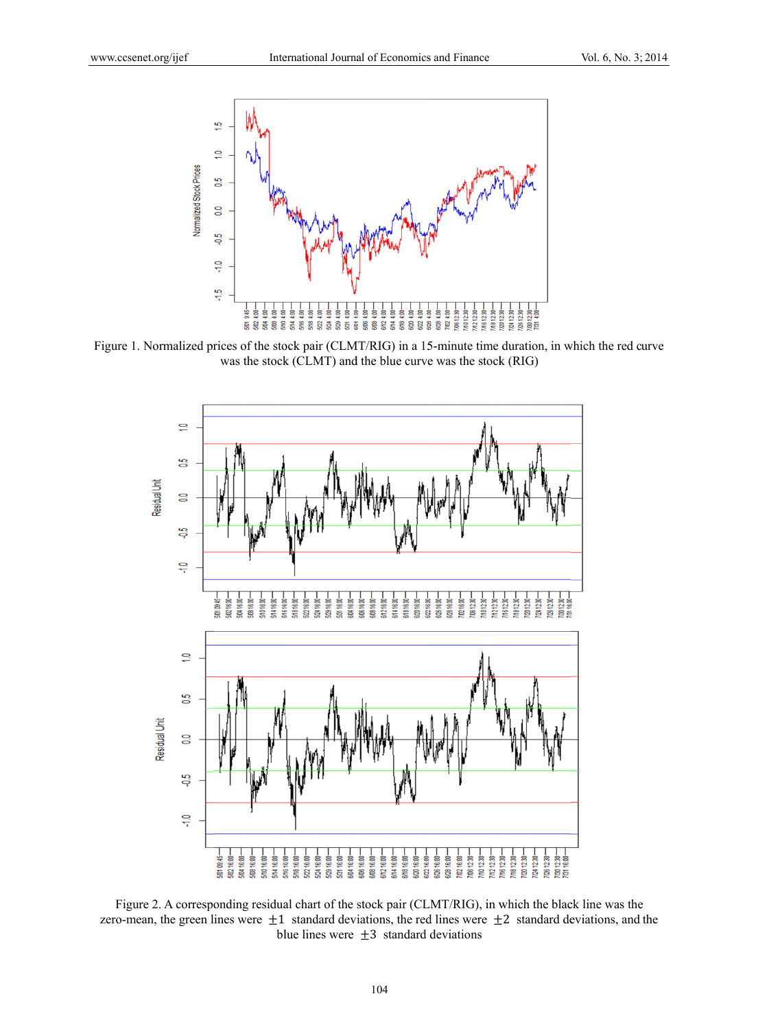

Figure 1. Normalized prices of the stock pair (CLMT/RIG) in a 15-minute time duration, in which the red curve was the stock (CLMT) and the blue curve was the stock (RIG)



Figure 2. A corresponding residual chart of the stock pair (CLMT/RIG), in which the black line was the zero-mean, the green lines were  $\pm 1$  standard deviations, the red lines were  $\pm 2$  standard deviations, and the blue lines were  $\pm 3$  standard deviations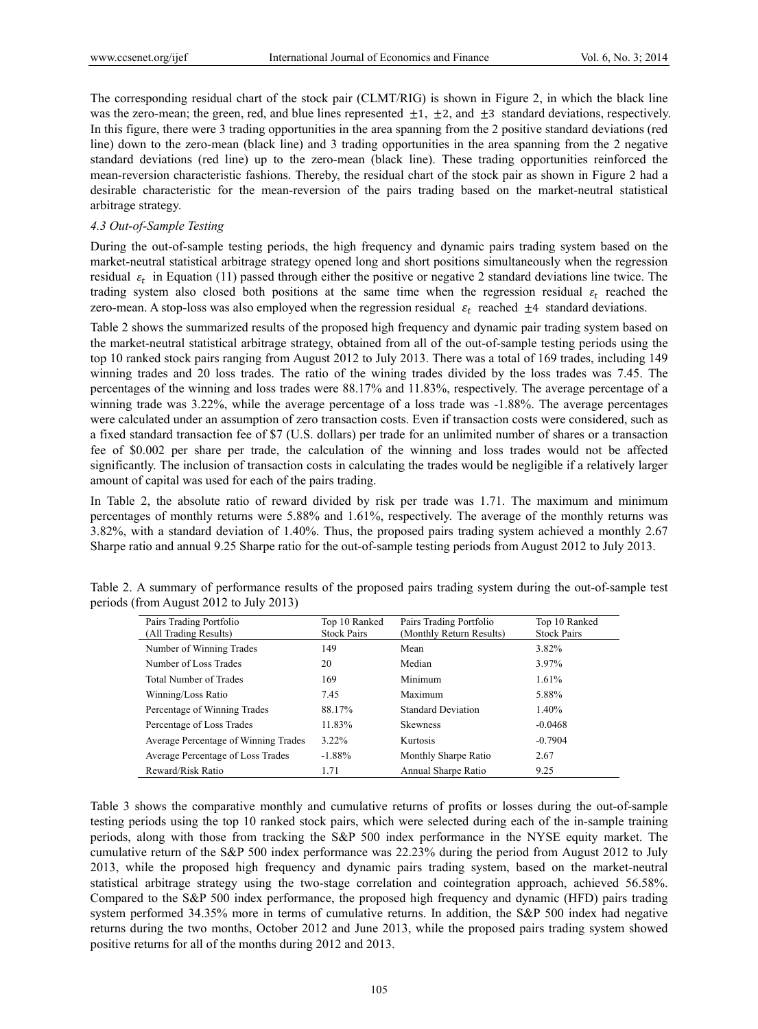The corresponding residual chart of the stock pair (CLMT/RIG) is shown in Figure 2, in which the black line was the zero-mean; the green, red, and blue lines represented  $\pm 1$ ,  $\pm 2$ , and  $\pm 3$  standard deviations, respectively. In this figure, there were 3 trading opportunities in the area spanning from the 2 positive standard deviations (red line) down to the zero-mean (black line) and 3 trading opportunities in the area spanning from the 2 negative standard deviations (red line) up to the zero-mean (black line). These trading opportunities reinforced the mean-reversion characteristic fashions. Thereby, the residual chart of the stock pair as shown in Figure 2 had a desirable characteristic for the mean-reversion of the pairs trading based on the market-neutral statistical arbitrage strategy.

## *4.3 Out-of-Sample Testing*

During the out-of-sample testing periods, the high frequency and dynamic pairs trading system based on the market-neutral statistical arbitrage strategy opened long and short positions simultaneously when the regression residual  $\varepsilon_t$  in Equation (11) passed through either the positive or negative 2 standard deviations line twice. The trading system also closed both positions at the same time when the regression residual  $\varepsilon_t$  reached the zero-mean. A stop-loss was also employed when the regression residual  $\varepsilon_t$  reached  $\pm 4$  standard deviations.

Table 2 shows the summarized results of the proposed high frequency and dynamic pair trading system based on the market-neutral statistical arbitrage strategy, obtained from all of the out-of-sample testing periods using the top 10 ranked stock pairs ranging from August 2012 to July 2013. There was a total of 169 trades, including 149 winning trades and 20 loss trades. The ratio of the wining trades divided by the loss trades was 7.45. The percentages of the winning and loss trades were 88.17% and 11.83%, respectively. The average percentage of a winning trade was 3.22%, while the average percentage of a loss trade was -1.88%. The average percentages were calculated under an assumption of zero transaction costs. Even if transaction costs were considered, such as a fixed standard transaction fee of \$7 (U.S. dollars) per trade for an unlimited number of shares or a transaction fee of \$0.002 per share per trade, the calculation of the winning and loss trades would not be affected significantly. The inclusion of transaction costs in calculating the trades would be negligible if a relatively larger amount of capital was used for each of the pairs trading.

In Table 2, the absolute ratio of reward divided by risk per trade was 1.71. The maximum and minimum percentages of monthly returns were 5.88% and 1.61%, respectively. The average of the monthly returns was 3.82%, with a standard deviation of 1.40%. Thus, the proposed pairs trading system achieved a monthly 2.67 Sharpe ratio and annual 9.25 Sharpe ratio for the out-of-sample testing periods from August 2012 to July 2013.

| Pairs Trading Portfolio<br>(All Trading Results) | Top 10 Ranked<br><b>Stock Pairs</b> | Pairs Trading Portfolio<br>(Monthly Return Results) | Top 10 Ranked<br><b>Stock Pairs</b> |
|--------------------------------------------------|-------------------------------------|-----------------------------------------------------|-------------------------------------|
| Number of Winning Trades                         | 149                                 | Mean                                                | 3.82%                               |
| Number of Loss Trades                            | 20                                  | Median                                              | 3.97%                               |
| <b>Total Number of Trades</b>                    | 169                                 | Minimum                                             | $1.61\%$                            |
| Winning/Loss Ratio                               | 7.45                                | Maximum                                             | 5.88%                               |
| Percentage of Winning Trades                     | 88.17%                              | <b>Standard Deviation</b>                           | $1.40\%$                            |
| Percentage of Loss Trades                        | 11.83%                              | <b>Skewness</b>                                     | $-0.0468$                           |
| Average Percentage of Winning Trades             | $3.22\%$                            | Kurtosis                                            | $-0.7904$                           |
| Average Percentage of Loss Trades                | $-1.88%$                            | Monthly Sharpe Ratio                                | 2.67                                |
| Reward/Risk Ratio                                | 1.71                                | Annual Sharpe Ratio                                 | 9.25                                |

Table 2. A summary of performance results of the proposed pairs trading system during the out-of-sample test periods (from August 2012 to July 2013)

Table 3 shows the comparative monthly and cumulative returns of profits or losses during the out-of-sample testing periods using the top 10 ranked stock pairs, which were selected during each of the in-sample training periods, along with those from tracking the S&P 500 index performance in the NYSE equity market. The cumulative return of the S&P 500 index performance was 22.23% during the period from August 2012 to July 2013, while the proposed high frequency and dynamic pairs trading system, based on the market-neutral statistical arbitrage strategy using the two-stage correlation and cointegration approach, achieved 56.58%. Compared to the S&P 500 index performance, the proposed high frequency and dynamic (HFD) pairs trading system performed 34.35% more in terms of cumulative returns. In addition, the S&P 500 index had negative returns during the two months, October 2012 and June 2013, while the proposed pairs trading system showed positive returns for all of the months during 2012 and 2013.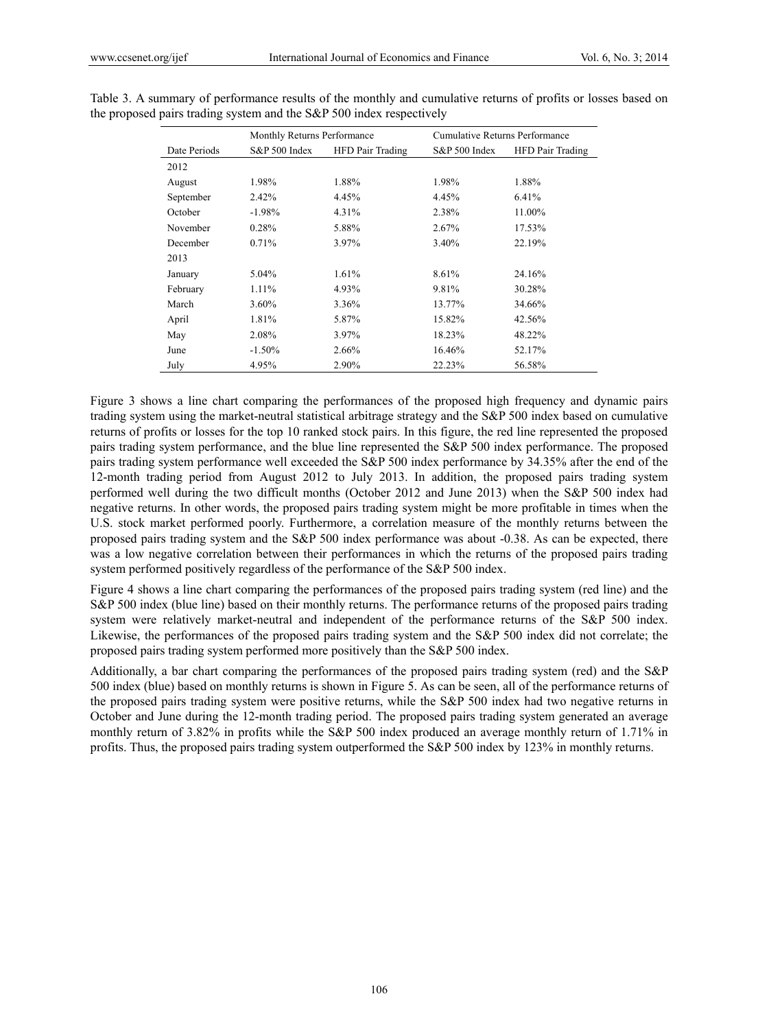|              | Monthly Returns Performance |                         | Cumulative Returns Performance |                         |
|--------------|-----------------------------|-------------------------|--------------------------------|-------------------------|
| Date Periods | S&P 500 Index               | <b>HFD Pair Trading</b> | S&P 500 Index                  | <b>HFD Pair Trading</b> |
| 2012         |                             |                         |                                |                         |
| August       | 1.98%                       | 1.88%                   | 1.98%                          | 1.88%                   |
| September    | 2.42%                       | 4.45%                   | 4.45%                          | 6.41%                   |
| October      | $-1.98%$                    | 4.31%                   | 2.38%                          | 11.00%                  |
| November     | 0.28%                       | 5.88%                   | 2.67%                          | 17.53%                  |
| December     | 0.71%                       | 3.97%                   | 3.40%                          | 22.19%                  |
| 2013         |                             |                         |                                |                         |
| January      | 5.04%                       | 1.61%                   | 8.61%                          | 24.16%                  |
| February     | 1.11%                       | 4.93%                   | 9.81%                          | 30.28%                  |
| March        | 3.60%                       | 3.36%                   | 13.77%                         | 34.66%                  |
| April        | 1.81%                       | 5.87%                   | 15.82%                         | 42.56%                  |
| May          | 2.08%                       | 3.97%                   | 18.23%                         | 48.22%                  |
| June         | $-1.50%$                    | 2.66%                   | 16.46%                         | 52.17%                  |
| July         | 4.95%                       | 2.90%                   | 22.23%                         | 56.58%                  |

Table 3. A summary of performance results of the monthly and cumulative returns of profits or losses based on the proposed pairs trading system and the S&P 500 index respectively

Figure 3 shows a line chart comparing the performances of the proposed high frequency and dynamic pairs trading system using the market-neutral statistical arbitrage strategy and the S&P 500 index based on cumulative returns of profits or losses for the top 10 ranked stock pairs. In this figure, the red line represented the proposed pairs trading system performance, and the blue line represented the S&P 500 index performance. The proposed pairs trading system performance well exceeded the S&P 500 index performance by 34.35% after the end of the 12-month trading period from August 2012 to July 2013. In addition, the proposed pairs trading system performed well during the two difficult months (October 2012 and June 2013) when the S&P 500 index had negative returns. In other words, the proposed pairs trading system might be more profitable in times when the U.S. stock market performed poorly. Furthermore, a correlation measure of the monthly returns between the proposed pairs trading system and the S&P 500 index performance was about -0.38. As can be expected, there was a low negative correlation between their performances in which the returns of the proposed pairs trading system performed positively regardless of the performance of the S&P 500 index.

Figure 4 shows a line chart comparing the performances of the proposed pairs trading system (red line) and the S&P 500 index (blue line) based on their monthly returns. The performance returns of the proposed pairs trading system were relatively market-neutral and independent of the performance returns of the S&P 500 index. Likewise, the performances of the proposed pairs trading system and the S&P 500 index did not correlate; the proposed pairs trading system performed more positively than the S&P 500 index.

Additionally, a bar chart comparing the performances of the proposed pairs trading system (red) and the S&P 500 index (blue) based on monthly returns is shown in Figure 5. As can be seen, all of the performance returns of the proposed pairs trading system were positive returns, while the S&P 500 index had two negative returns in October and June during the 12-month trading period. The proposed pairs trading system generated an average monthly return of 3.82% in profits while the S&P 500 index produced an average monthly return of 1.71% in profits. Thus, the proposed pairs trading system outperformed the S&P 500 index by 123% in monthly returns.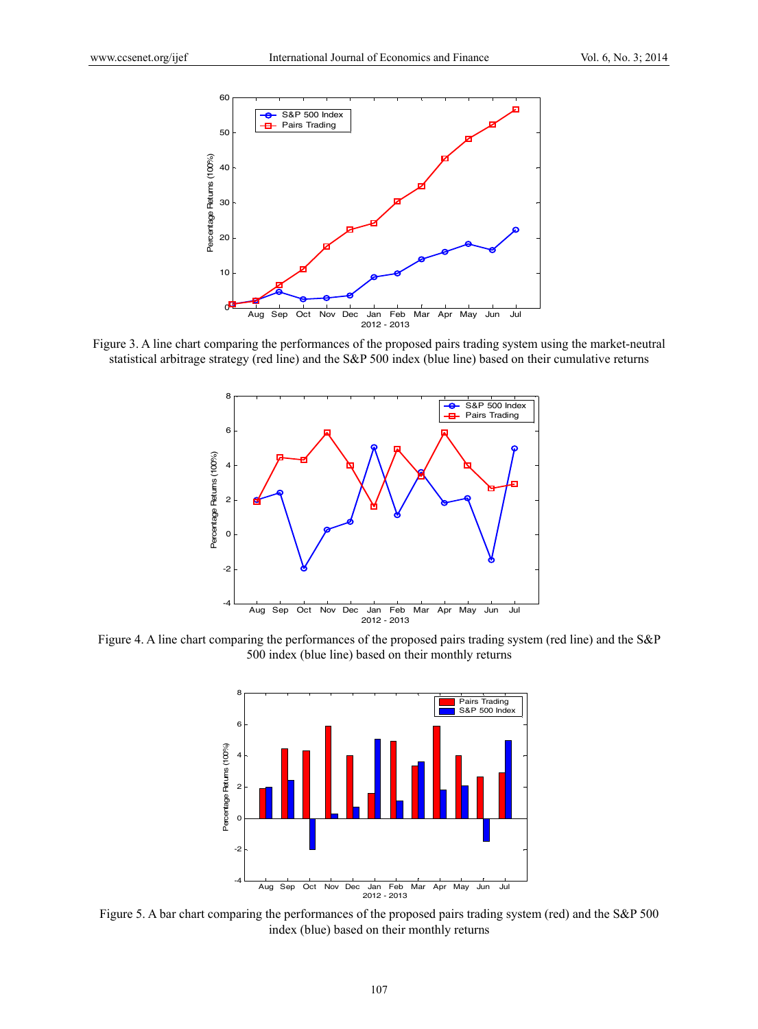

Figure 3. A line chart comparing the performances of the proposed pairs trading system using the market-neutral statistical arbitrage strategy (red line) and the S&P 500 index (blue line) based on their cumulative returns



Figure 4. A line chart comparing the performances of the proposed pairs trading system (red line) and the S&P 500 index (blue line) based on their monthly returns



Figure 5. A bar chart comparing the performances of the proposed pairs trading system (red) and the S&P 500 index (blue) based on their monthly returns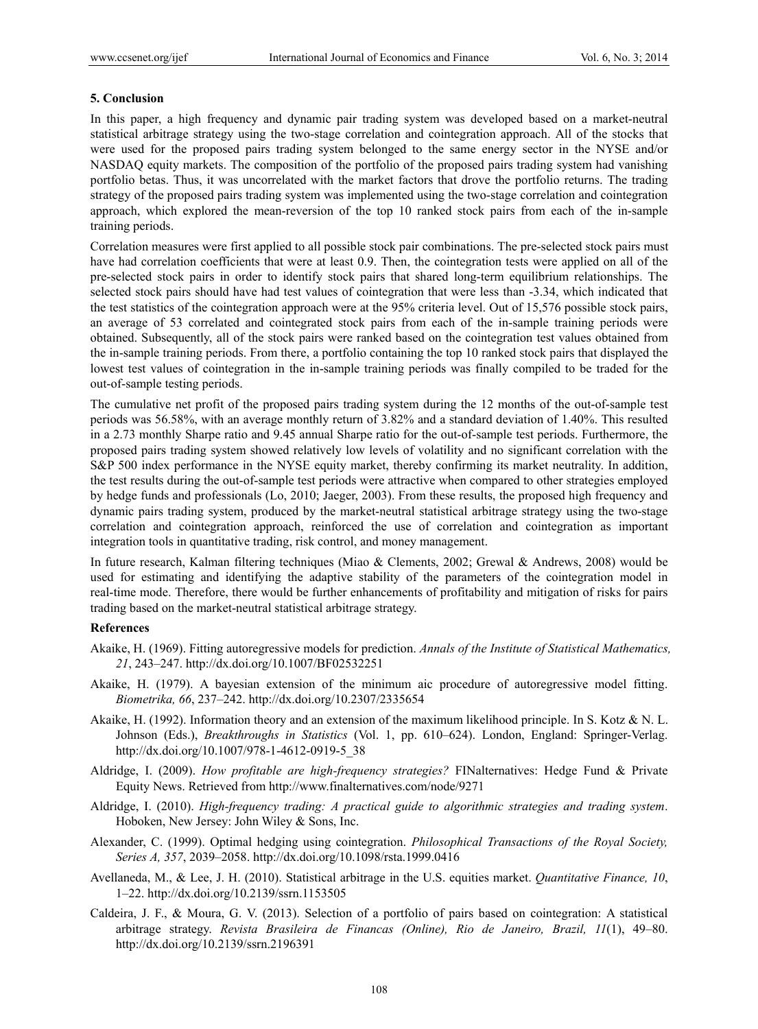## **5. Conclusion**

In this paper, a high frequency and dynamic pair trading system was developed based on a market-neutral statistical arbitrage strategy using the two-stage correlation and cointegration approach. All of the stocks that were used for the proposed pairs trading system belonged to the same energy sector in the NYSE and/or NASDAQ equity markets. The composition of the portfolio of the proposed pairs trading system had vanishing portfolio betas. Thus, it was uncorrelated with the market factors that drove the portfolio returns. The trading strategy of the proposed pairs trading system was implemented using the two-stage correlation and cointegration approach, which explored the mean-reversion of the top 10 ranked stock pairs from each of the in-sample training periods.

Correlation measures were first applied to all possible stock pair combinations. The pre-selected stock pairs must have had correlation coefficients that were at least 0.9. Then, the cointegration tests were applied on all of the pre-selected stock pairs in order to identify stock pairs that shared long-term equilibrium relationships. The selected stock pairs should have had test values of cointegration that were less than -3.34, which indicated that the test statistics of the cointegration approach were at the 95% criteria level. Out of 15,576 possible stock pairs, an average of 53 correlated and cointegrated stock pairs from each of the in-sample training periods were obtained. Subsequently, all of the stock pairs were ranked based on the cointegration test values obtained from the in-sample training periods. From there, a portfolio containing the top 10 ranked stock pairs that displayed the lowest test values of cointegration in the in-sample training periods was finally compiled to be traded for the out-of-sample testing periods.

The cumulative net profit of the proposed pairs trading system during the 12 months of the out-of-sample test periods was 56.58%, with an average monthly return of 3.82% and a standard deviation of 1.40%. This resulted in a 2.73 monthly Sharpe ratio and 9.45 annual Sharpe ratio for the out-of-sample test periods. Furthermore, the proposed pairs trading system showed relatively low levels of volatility and no significant correlation with the S&P 500 index performance in the NYSE equity market, thereby confirming its market neutrality. In addition, the test results during the out-of-sample test periods were attractive when compared to other strategies employed by hedge funds and professionals (Lo, 2010; Jaeger, 2003). From these results, the proposed high frequency and dynamic pairs trading system, produced by the market-neutral statistical arbitrage strategy using the two-stage correlation and cointegration approach, reinforced the use of correlation and cointegration as important integration tools in quantitative trading, risk control, and money management.

In future research, Kalman filtering techniques (Miao & Clements, 2002; Grewal & Andrews, 2008) would be used for estimating and identifying the adaptive stability of the parameters of the cointegration model in real-time mode. Therefore, there would be further enhancements of profitability and mitigation of risks for pairs trading based on the market-neutral statistical arbitrage strategy.

## **References**

- Akaike, H. (1969). Fitting autoregressive models for prediction. *Annals of the Institute of Statistical Mathematics, 21*, 243–247. http://dx.doi.org/10.1007/BF02532251
- Akaike, H. (1979). A bayesian extension of the minimum aic procedure of autoregressive model fitting. *Biometrika, 66*, 237–242. http://dx.doi.org/10.2307/2335654
- Akaike, H. (1992). Information theory and an extension of the maximum likelihood principle. In S. Kotz & N. L. Johnson (Eds.), *Breakthroughs in Statistics* (Vol. 1, pp. 610–624). London, England: Springer-Verlag. http://dx.doi.org/10.1007/978-1-4612-0919-5\_38
- Aldridge, I. (2009). *How profitable are high-frequency strategies?* FINalternatives: Hedge Fund & Private Equity News. Retrieved from http://www.finalternatives.com/node/9271
- Aldridge, I. (2010). *High-frequency trading: A practical guide to algorithmic strategies and trading system*. Hoboken, New Jersey: John Wiley & Sons, Inc.
- Alexander, C. (1999). Optimal hedging using cointegration. *Philosophical Transactions of the Royal Society, Series A, 357*, 2039–2058. http://dx.doi.org/10.1098/rsta.1999.0416
- Avellaneda, M., & Lee, J. H. (2010). Statistical arbitrage in the U.S. equities market. *Quantitative Finance, 10*, 1–22. http://dx.doi.org/10.2139/ssrn.1153505
- Caldeira, J. F., & Moura, G. V. (2013). Selection of a portfolio of pairs based on cointegration: A statistical arbitrage strategy. *Revista Brasileira de Financas (Online), Rio de Janeiro, Brazil, 11*(1), 49–80. http://dx.doi.org/10.2139/ssrn.2196391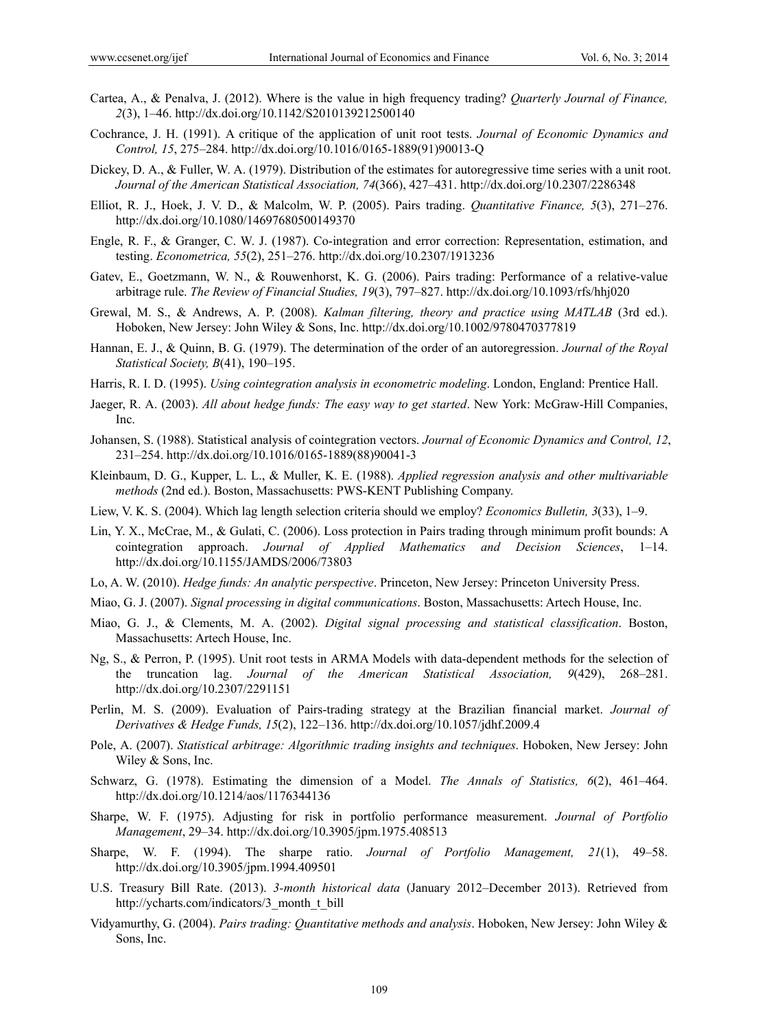- Cartea, A., & Penalva, J. (2012). Where is the value in high frequency trading? *Quarterly Journal of Finance, 2*(3), 1–46. http://dx.doi.org/10.1142/S2010139212500140
- Cochrance, J. H. (1991). A critique of the application of unit root tests. *Journal of Economic Dynamics and Control, 15*, 275–284. http://dx.doi.org/10.1016/0165-1889(91)90013-Q
- Dickey, D. A., & Fuller, W. A. (1979). Distribution of the estimates for autoregressive time series with a unit root. *Journal of the American Statistical Association, 74*(366), 427–431. http://dx.doi.org/10.2307/2286348
- Elliot, R. J., Hoek, J. V. D., & Malcolm, W. P. (2005). Pairs trading. *Quantitative Finance, 5*(3), 271–276. http://dx.doi.org/10.1080/14697680500149370
- Engle, R. F., & Granger, C. W. J. (1987). Co-integration and error correction: Representation, estimation, and testing. *Econometrica, 55*(2), 251–276. http://dx.doi.org/10.2307/1913236
- Gatev, E., Goetzmann, W. N., & Rouwenhorst, K. G. (2006). Pairs trading: Performance of a relative-value arbitrage rule. *The Review of Financial Studies, 19*(3), 797–827. http://dx.doi.org/10.1093/rfs/hhj020
- Grewal, M. S., & Andrews, A. P. (2008). *Kalman filtering, theory and practice using MATLAB* (3rd ed.). Hoboken, New Jersey: John Wiley & Sons, Inc. http://dx.doi.org/10.1002/9780470377819
- Hannan, E. J., & Quinn, B. G. (1979). The determination of the order of an autoregression. *Journal of the Royal Statistical Society, B*(41), 190–195.
- Harris, R. I. D. (1995). *Using cointegration analysis in econometric modeling*. London, England: Prentice Hall.
- Jaeger, R. A. (2003). *All about hedge funds: The easy way to get started*. New York: McGraw-Hill Companies, Inc.
- Johansen, S. (1988). Statistical analysis of cointegration vectors. *Journal of Economic Dynamics and Control, 12*, 231–254. http://dx.doi.org/10.1016/0165-1889(88)90041-3
- Kleinbaum, D. G., Kupper, L. L., & Muller, K. E. (1988). *Applied regression analysis and other multivariable methods* (2nd ed.). Boston, Massachusetts: PWS-KENT Publishing Company.
- Liew, V. K. S. (2004). Which lag length selection criteria should we employ? *Economics Bulletin, 3*(33), 1–9.
- Lin, Y. X., McCrae, M., & Gulati, C. (2006). Loss protection in Pairs trading through minimum profit bounds: A cointegration approach. *Journal of Applied Mathematics and Decision Sciences*, 1–14. http://dx.doi.org/10.1155/JAMDS/2006/73803
- Lo, A. W. (2010). *Hedge funds: An analytic perspective*. Princeton, New Jersey: Princeton University Press.
- Miao, G. J. (2007). *Signal processing in digital communications*. Boston, Massachusetts: Artech House, Inc.
- Miao, G. J., & Clements, M. A. (2002). *Digital signal processing and statistical classification*. Boston, Massachusetts: Artech House, Inc.
- Ng, S., & Perron, P. (1995). Unit root tests in ARMA Models with data-dependent methods for the selection of the truncation lag. *Journal of the American Statistical Association, 9*(429), 268–281. http://dx.doi.org/10.2307/2291151
- Perlin, M. S. (2009). Evaluation of Pairs-trading strategy at the Brazilian financial market. *Journal of Derivatives & Hedge Funds, 15*(2), 122–136. http://dx.doi.org/10.1057/jdhf.2009.4
- Pole, A. (2007). *Statistical arbitrage: Algorithmic trading insights and techniques*. Hoboken, New Jersey: John Wiley & Sons, Inc.
- Schwarz, G. (1978). Estimating the dimension of a Model. *The Annals of Statistics, 6*(2), 461–464. http://dx.doi.org/10.1214/aos/1176344136
- Sharpe, W. F. (1975). Adjusting for risk in portfolio performance measurement. *Journal of Portfolio Management*, 29–34. http://dx.doi.org/10.3905/jpm.1975.408513
- Sharpe, W. F. (1994). The sharpe ratio. *Journal of Portfolio Management, 21*(1), 49–58. http://dx.doi.org/10.3905/jpm.1994.409501
- U.S. Treasury Bill Rate. (2013). *3-month historical data* (January 2012–December 2013). Retrieved from http://ycharts.com/indicators/3\_month\_t\_bill
- Vidyamurthy, G. (2004). *Pairs trading: Quantitative methods and analysis*. Hoboken, New Jersey: John Wiley & Sons, Inc.